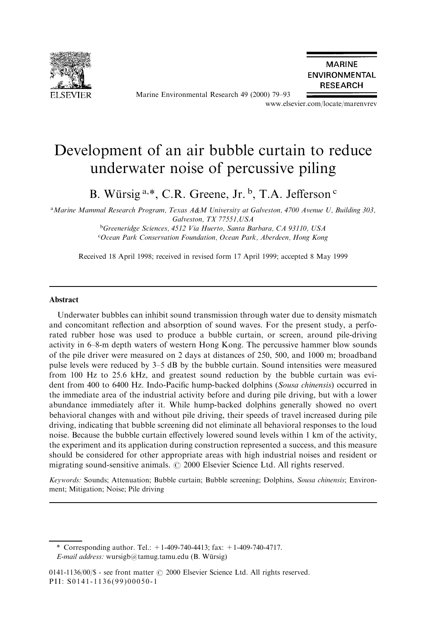

Marine Environmental Research 49 (2000) 79-93

**MARINE ENVIRONMENTAL RESEARCH** 

www.elsevier.com/locate/marenvrev

# Development of an air bubble curtain to reduce underwater noise of percussive piling

B. Würsig  $a, *$ , C.R. Greene, Jr.  $b, T.A$ . Jefferson  $c$ 

<sup>a</sup>Marine Mammal Research Program, Texas A&M University at Galveston, 4700 Avenue U, Building 303, Galveston, TX 77551,USA

> <sup>b</sup>Greeneridge Sciences, 4512 Via Huerto, Santa Barbara, CA 93110, USA <sup>c</sup>Ocean Park Conservation Foundation, Ocean Park, Aberdeen, Hong Kong

Received 18 April 1998; received in revised form 17 April 1999; accepted 8 May 1999

## Abstract

Underwater bubbles can inhibit sound transmission through water due to density mismatch and concomitant reflection and absorption of sound waves. For the present study, a perforated rubber hose was used to produce a bubble curtain, or screen, around pile-driving activity in 6-8-m depth waters of western Hong Kong. The percussive hammer blow sounds of the pile driver were measured on 2 days at distances of 250, 500, and 1000 m; broadband pulse levels were reduced by  $3-5$  dB by the bubble curtain. Sound intensities were measured from 100 Hz to 25.6 kHz, and greatest sound reduction by the bubble curtain was evident from 400 to 6400 Hz. Indo-Pacific hump-backed dolphins (Sousa chinensis) occurred in the immediate area of the industrial activity before and during pile driving, but with a lower abundance immediately after it. While hump-backed dolphins generally showed no overt behavioral changes with and without pile driving, their speeds of travel increased during pile driving, indicating that bubble screening did not eliminate all behavioral responses to the loud noise. Because the bubble curtain effectively lowered sound levels within 1 km of the activity, the experiment and its application during construction represented a success, and this measure should be considered for other appropriate areas with high industrial noises and resident or migrating sound-sensitive animals.  $\odot$  2000 Elsevier Science Ltd. All rights reserved.

Keywords: Sounds; Attenuation; Bubble curtain; Bubble screening; Dolphins, Sousa chinensis; Environment; Mitigation; Noise; Pile driving

<sup>\*</sup> Corresponding author. Tel.:  $+1-409-740-4413$ ; fax:  $+1-409-740-4717$ .

E-mail address: wursigb@tamug.tamu.edu (B. Würsig)

<sup>0141-1136/00/\$ -</sup> see front matter  $\odot$  2000 Elsevier Science Ltd. All rights reserved. PII: S0141-1136(99)00050-1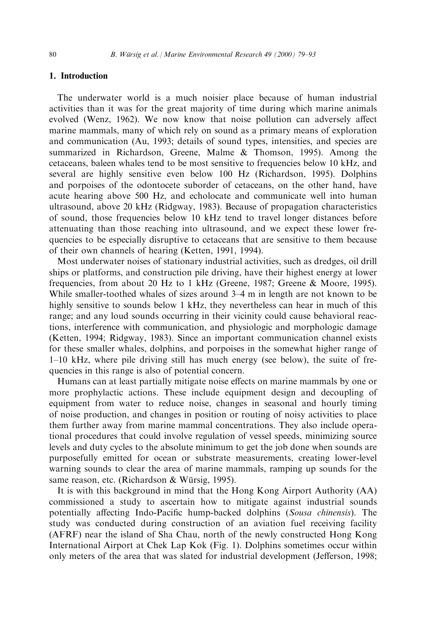# 1. Introduction

The underwater world is a much noisier place because of human industrial activities than it was for the great majority of time during which marine animals evolved (Wenz, 1962). We now know that noise pollution can adversely affect marine mammals, many of which rely on sound as a primary means of exploration and communication (Au, 1993; details of sound types, intensities, and species are summarized in Richardson, Greene, Malme & Thomson, 1995). Among the cetaceans, baleen whales tend to be most sensitive to frequencies below 10 kHz, and several are highly sensitive even below 100 Hz (Richardson, 1995). Dolphins and porpoises of the odontocete suborder of cetaceans, on the other hand, have acute hearing above 500 Hz, and echolocate and communicate well into human ultrasound, above 20 kHz (Ridgway, 1983). Because of propagation characteristics of sound, those frequencies below 10 kHz tend to travel longer distances before attenuating than those reaching into ultrasound, and we expect these lower frequencies to be especially disruptive to cetaceans that are sensitive to them because of their own channels of hearing (Ketten, 1991, 1994).

Most underwater noises of stationary industrial activities, such as dredges, oil drill ships or platforms, and construction pile driving, have their highest energy at lower frequencies, from about 20 Hz to 1 kHz (Greene, 1987; Greene & Moore, 1995). While smaller-toothed whales of sizes around  $3-4$  m in length are not known to be highly sensitive to sounds below 1 kHz, they nevertheless can hear in much of this range; and any loud sounds occurring in their vicinity could cause behavioral reactions, interference with communication, and physiologic and morphologic damage (Ketten, 1994; Ridgway, 1983). Since an important communication channel exists for these smaller whales, dolphins, and porpoises in the somewhat higher range of  $1-10$  kHz, where pile driving still has much energy (see below), the suite of frequencies in this range is also of potential concern.

Humans can at least partially mitigate noise effects on marine mammals by one or more prophylactic actions. These include equipment design and decoupling of equipment from water to reduce noise, changes in seasonal and hourly timing of noise production, and changes in position or routing of noisy activities to place them further away from marine mammal concentrations. They also include operational procedures that could involve regulation of vessel speeds, minimizing source levels and duty cycles to the absolute minimum to get the job done when sounds are purposefully emitted for ocean or substrate measurements, creating lower-level warning sounds to clear the area of marine mammals, ramping up sounds for the same reason, etc. (Richardson  $& Würsig, 1995$ ).

It is with this background in mind that the Hong Kong Airport Authority (AA) commissioned a study to ascertain how to mitigate against industrial sounds potentially affecting Indo-Pacific hump-backed dolphins (Sousa chinensis). The study was conducted during construction of an aviation fuel receiving facility (AFRF) near the island of Sha Chau, north of the newly constructed Hong Kong International Airport at Chek Lap Kok (Fig. 1). Dolphins sometimes occur within only meters of the area that was slated for industrial development (Jefferson, 1998;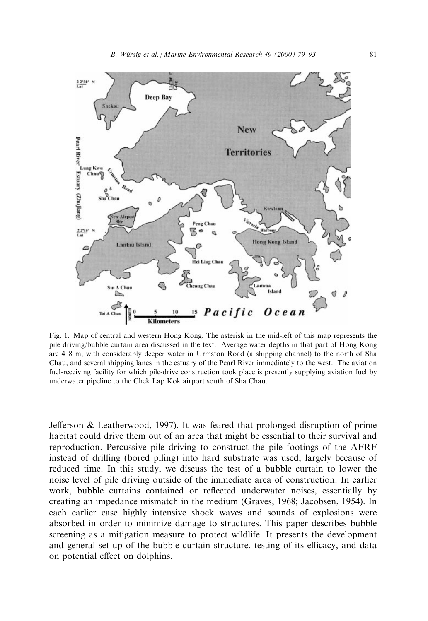

Fig. 1. Map of central and western Hong Kong. The asterisk in the mid-left of this map represents the pile driving/bubble curtain area discussed in the text. Average water depths in that part of Hong Kong are 4–8 m, with considerably deeper water in Urmston Road (a shipping channel) to the north of Sha Chau, and several shipping lanes in the estuary of the Pearl River immediately to the west. The aviation fuel-receiving facility for which pile-drive construction took place is presently supplying aviation fuel by underwater pipeline to the Chek Lap Kok airport south of Sha Chau.

Jefferson & Leatherwood, 1997). It was feared that prolonged disruption of prime habitat could drive them out of an area that might be essential to their survival and reproduction. Percussive pile driving to construct the pile footings of the AFRF instead of drilling (bored piling) into hard substrate was used, largely because of reduced time. In this study, we discuss the test of a bubble curtain to lower the noise level of pile driving outside of the immediate area of construction. In earlier work, bubble curtains contained or reflected underwater noises, essentially by creating an impedance mismatch in the medium (Graves, 1968; Jacobsen, 1954). In each earlier case highly intensive shock waves and sounds of explosions were absorbed in order to minimize damage to structures. This paper describes bubble screening as a mitigation measure to protect wildlife. It presents the development and general set-up of the bubble curtain structure, testing of its efficacy, and data on potential effect on dolphins.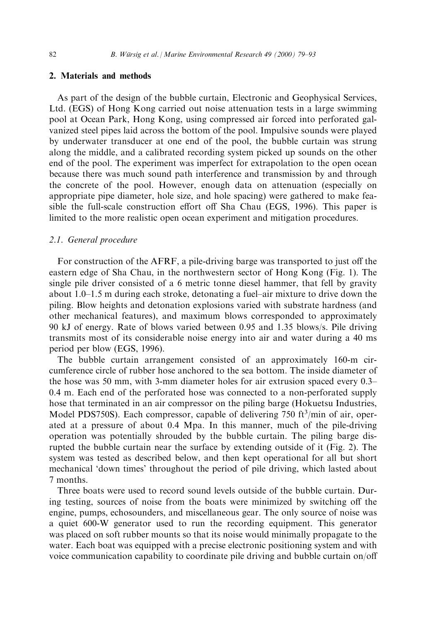## 2. Materials and methods

As part of the design of the bubble curtain, Electronic and Geophysical Services, Ltd. (EGS) of Hong Kong carried out noise attenuation tests in a large swimming pool at Ocean Park, Hong Kong, using compressed air forced into perforated galvanized steel pipes laid across the bottom of the pool. Impulsive sounds were played by underwater transducer at one end of the pool, the bubble curtain was strung along the middle, and a calibrated recording system picked up sounds on the other end of the pool. The experiment was imperfect for extrapolation to the open ocean because there was much sound path interference and transmission by and through the concrete of the pool. However, enough data on attenuation (especially on appropriate pipe diameter, hole size, and hole spacing) were gathered to make feasible the full-scale construction effort off Sha Chau (EGS,  $1996$ ). This paper is limited to the more realistic open ocean experiment and mitigation procedures.

#### 2.1. General procedure

For construction of the AFRF, a pile-driving barge was transported to just off the eastern edge of Sha Chau, in the northwestern sector of Hong Kong (Fig. 1). The single pile driver consisted of a 6 metric tonne diesel hammer, that fell by gravity about  $1.0-1.5$  m during each stroke, detonating a fuel-air mixture to drive down the piling. Blow heights and detonation explosions varied with substrate hardness (and other mechanical features), and maximum blows corresponded to approximately 90 kJ of energy. Rate of blows varied between 0.95 and 1.35 blows/s. Pile driving transmits most of its considerable noise energy into air and water during a 40 ms period per blow (EGS, 1996).

The bubble curtain arrangement consisted of an approximately 160-m circumference circle of rubber hose anchored to the sea bottom. The inside diameter of the hose was 50 mm, with 3-mm diameter holes for air extrusion spaced every 0.3– 0.4 m. Each end of the perforated hose was connected to a non-perforated supply hose that terminated in an air compressor on the piling barge (Hokuetsu Industries, Model PDS750S). Each compressor, capable of delivering 750 ft $3$ /min of air, operated at a pressure of about 0.4 Mpa. In this manner, much of the pile-driving operation was potentially shrouded by the bubble curtain. The piling barge disrupted the bubble curtain near the surface by extending outside of it (Fig. 2). The system was tested as described below, and then kept operational for all but short mechanical `down times' throughout the period of pile driving, which lasted about 7 months.

Three boats were used to record sound levels outside of the bubble curtain. During testing, sources of noise from the boats were minimized by switching off the engine, pumps, echosounders, and miscellaneous gear. The only source of noise was a quiet 600-W generator used to run the recording equipment. This generator was placed on soft rubber mounts so that its noise would minimally propagate to the water. Each boat was equipped with a precise electronic positioning system and with voice communication capability to coordinate pile driving and bubble curtain on/o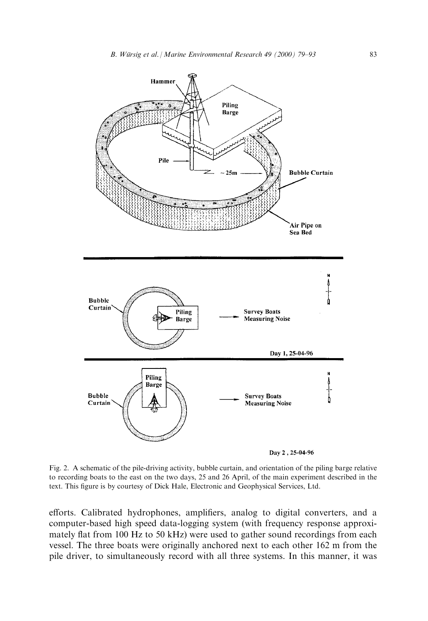

Day 2, 25-04-96

Fig. 2. A schematic of the pile-driving activity, bubble curtain, and orientation of the piling barge relative to recording boats to the east on the two days, 25 and 26 April, of the main experiment described in the text. This figure is by courtesy of Dick Hale, Electronic and Geophysical Services, Ltd.

efforts. Calibrated hydrophones, amplifiers, analog to digital converters, and a computer-based high speed data-logging system (with frequency response approximately flat from 100 Hz to 50 kHz) were used to gather sound recordings from each vessel. The three boats were originally anchored next to each other 162 m from the pile driver, to simultaneously record with all three systems. In this manner, it was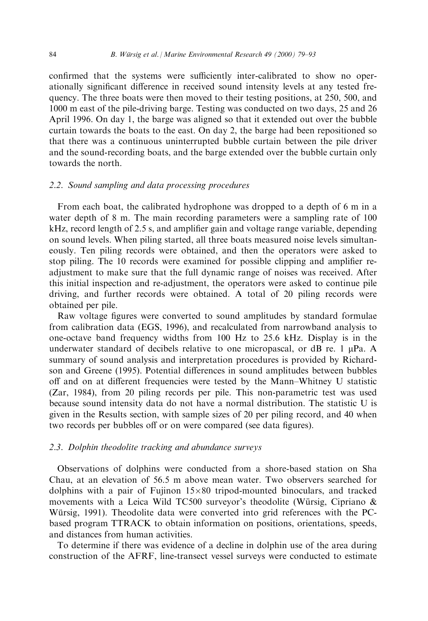confirmed that the systems were sufficiently inter-calibrated to show no operationally significant difference in received sound intensity levels at any tested frequency. The three boats were then moved to their testing positions, at 250, 500, and 1000 m east of the pile-driving barge. Testing was conducted on two days, 25 and 26 April 1996. On day 1, the barge was aligned so that it extended out over the bubble curtain towards the boats to the east. On day 2, the barge had been repositioned so that there was a continuous uninterrupted bubble curtain between the pile driver and the sound-recording boats, and the barge extended over the bubble curtain only towards the north.

## 2.2. Sound sampling and data processing procedures

From each boat, the calibrated hydrophone was dropped to a depth of 6 m in a water depth of 8 m. The main recording parameters were a sampling rate of 100  $kHz$ , record length of 2.5 s, and amplifier gain and voltage range variable, depending on sound levels. When piling started, all three boats measured noise levels simultaneously. Ten piling records were obtained, and then the operators were asked to stop piling. The 10 records were examined for possible clipping and amplifier readjustment to make sure that the full dynamic range of noises was received. After this initial inspection and re-adjustment, the operators were asked to continue pile driving, and further records were obtained. A total of 20 piling records were obtained per pile.

Raw voltage figures were converted to sound amplitudes by standard formulae from calibration data (EGS, 1996), and recalculated from narrowband analysis to one-octave band frequency widths from 100 Hz to 25.6 kHz. Display is in the underwater standard of decibels relative to one micropascal, or dB re. 1  $\mu$ Pa. A summary of sound analysis and interpretation procedures is provided by Richardson and Greene (1995). Potential differences in sound amplitudes between bubbles off and on at different frequencies were tested by the Mann–Whitney U statistic (Zar, 1984), from 20 piling records per pile. This non-parametric test was used because sound intensity data do not have a normal distribution. The statistic U is given in the Results section, with sample sizes of 20 per piling record, and 40 when two records per bubbles off or on were compared (see data figures).

## 2.3. Dolphin theodolite tracking and abundance surveys

Observations of dolphins were conducted from a shore-based station on Sha Chau, at an elevation of 56.5 m above mean water. Two observers searched for dolphins with a pair of Fujinon  $15 \times 80$  tripod-mounted binoculars, and tracked movements with a Leica Wild TC500 surveyor's theodolite (Würsig, Cipriano  $\&$ Würsig, 1991). Theodolite data were converted into grid references with the PCbased program TTRACK to obtain information on positions, orientations, speeds, and distances from human activities.

To determine if there was evidence of a decline in dolphin use of the area during construction of the AFRF, line-transect vessel surveys were conducted to estimate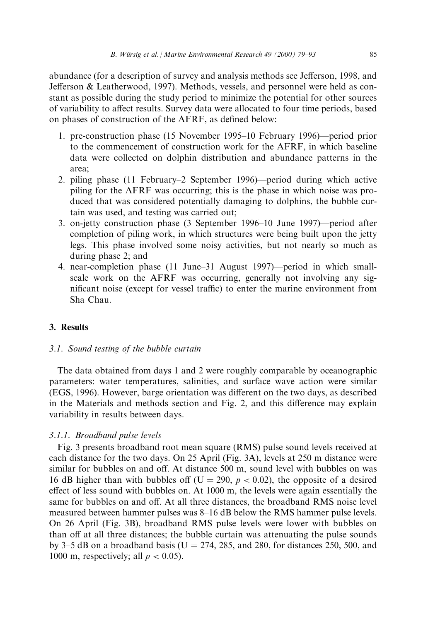abundance (for a description of survey and analysis methods see Jefferson, 1998, and Jefferson & Leatherwood, 1997). Methods, vessels, and personnel were held as constant as possible during the study period to minimize the potential for other sources of variability to affect results. Survey data were allocated to four time periods, based on phases of construction of the AFRF, as defined below:

- 1. pre-construction phase (15 November 1995–10 February 1996)—period prior to the commencement of construction work for the AFRF, in which baseline data were collected on dolphin distribution and abundance patterns in the area;
- 2. piling phase (11 February–2 September 1996)—period during which active piling for the AFRF was occurring; this is the phase in which noise was produced that was considered potentially damaging to dolphins, the bubble curtain was used, and testing was carried out;
- 3. on-jetty construction phase (3 September 1996–10 June 1997)—period after completion of piling work, in which structures were being built upon the jetty legs. This phase involved some noisy activities, but not nearly so much as during phase 2; and
- 4. near-completion phase (11 June-31 August 1997)—period in which smallscale work on the AFRF was occurring, generally not involving any significant noise (except for vessel traffic) to enter the marine environment from Sha Chau.

# 3. Results

# 3.1. Sound testing of the bubble curtain

The data obtained from days 1 and 2 were roughly comparable by oceanographic parameters: water temperatures, salinities, and surface wave action were similar (EGS, 1996). However, barge orientation was different on the two days, as described in the Materials and methods section and Fig. 2, and this difference may explain variability in results between days.

## 3.1.1. Broadband pulse levels

Fig. 3 presents broadband root mean square (RMS) pulse sound levels received at each distance for the two days. On 25 April (Fig. 3A), levels at 250 m distance were similar for bubbles on and off. At distance 500 m, sound level with bubbles on was 16 dB higher than with bubbles of (U = 290,  $p < 0.02$ ), the opposite of a desired effect of less sound with bubbles on. At  $1000$  m, the levels were again essentially the same for bubbles on and off. At all three distances, the broadband RMS noise level measured between hammer pulses was 8–16 dB below the RMS hammer pulse levels. On 26 April (Fig. 3B), broadband RMS pulse levels were lower with bubbles on than off at all three distances; the bubble curtain was attenuating the pulse sounds by 3–5 dB on a broadband basis ( $U = 274, 285,$  and 280, for distances 250, 500, and 1000 m, respectively; all  $p < 0.05$ ).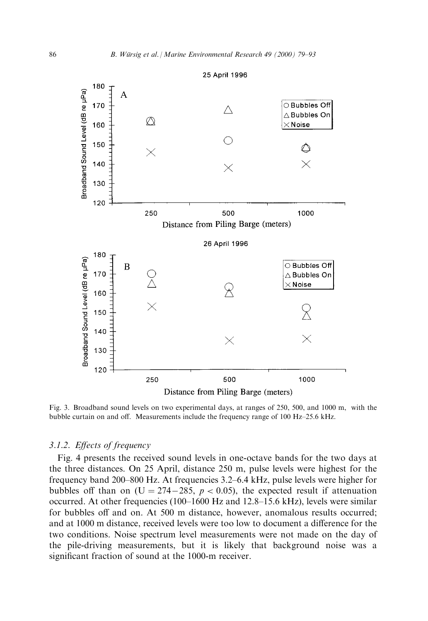

Fig. 3. Broadband sound levels on two experimental days, at ranges of 250, 500, and 1000 m, with the bubble curtain on and off. Measurements include the frequency range of  $100 \text{ Hz}-25.6 \text{ kHz}$ .

## 3.1.2. Effects of frequency

Fig. 4 presents the received sound levels in one-octave bands for the two days at the three distances. On 25 April, distance 250 m, pulse levels were highest for the frequency band  $200-800$  Hz. At frequencies 3.2 $-6.4$  kHz, pulse levels were higher for bubbles off than on (U = 274–285,  $p < 0.05$ ), the expected result if attenuation occurred. At other frequencies  $(100-1600 \text{ Hz}$  and  $12.8-15.6 \text{ kHz}$ ), levels were similar for bubbles off and on. At 500 m distance, however, anomalous results occurred; and at 1000 m distance, received levels were too low to document a difference for the two conditions. Noise spectrum level measurements were not made on the day of the pile-driving measurements, but it is likely that background noise was a significant fraction of sound at the 1000-m receiver.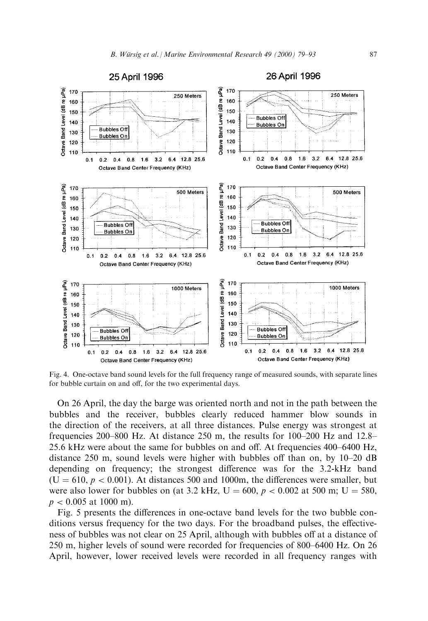

Fig. 4. One-octave band sound levels for the full frequency range of measured sounds, with separate lines for bubble curtain on and off, for the two experimental days.

On 26 April, the day the barge was oriented north and not in the path between the bubbles and the receiver, bubbles clearly reduced hammer blow sounds in the direction of the receivers, at all three distances. Pulse energy was strongest at frequencies 200–800 Hz. At distance 250 m, the results for 100–200 Hz and  $12.8-$ 25.6 kHz were about the same for bubbles on and off. At frequencies  $400-6400$  Hz, distance 250 m, sound levels were higher with bubbles off than on, by  $10-20$  dB depending on frequency; the strongest difference was for the  $3.2-kHz$  band  $(U = 610, p < 0.001)$ . At distances 500 and 1000m, the differences were smaller, but were also lower for bubbles on (at 3.2 kHz,  $U = 600$ ,  $p < 0.002$  at 500 m;  $U = 580$ ,  $p < 0.005$  at 1000 m).

Fig. 5 presents the differences in one-octave band levels for the two bubble conditions versus frequency for the two days. For the broadband pulses, the effectiveness of bubbles was not clear on 25 April, although with bubbles off at a distance of 250 m, higher levels of sound were recorded for frequencies of 800–6400 Hz. On 26 April, however, lower received levels were recorded in all frequency ranges with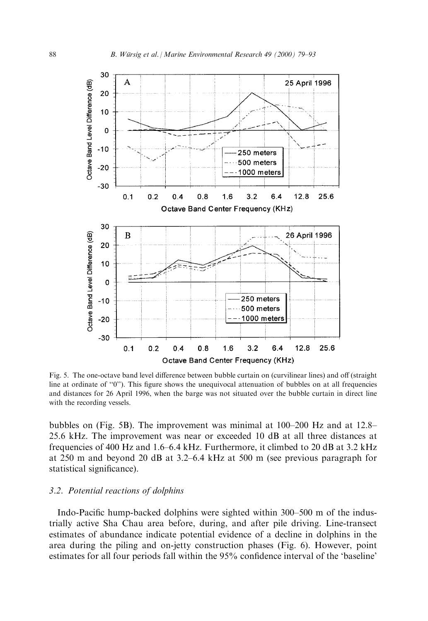

Fig. 5. The one-octave band level difference between bubble curtain on (curvilinear lines) and off (straight line at ordinate of  $`0'$ ). This figure shows the unequivocal attenuation of bubbles on at all frequencies and distances for 26 April 1996, when the barge was not situated over the bubble curtain in direct line with the recording vessels.

bubbles on (Fig. 5B). The improvement was minimal at  $100-200$  Hz and at  $12.8-$ 25.6 kHz. The improvement was near or exceeded 10 dB at all three distances at frequencies of 400 Hz and 1.6-6.4 kHz. Furthermore, it climbed to 20 dB at 3.2 kHz at 250 m and beyond 20 dB at  $3.2-6.4$  kHz at 500 m (see previous paragraph for statistical significance).

## 3.2. Potential reactions of dolphins

Indo-Pacific hump-backed dolphins were sighted within 300–500 m of the industrially active Sha Chau area before, during, and after pile driving. Line-transect estimates of abundance indicate potential evidence of a decline in dolphins in the area during the piling and on-jetty construction phases (Fig. 6). However, point estimates for all four periods fall within the 95% confidence interval of the 'baseline'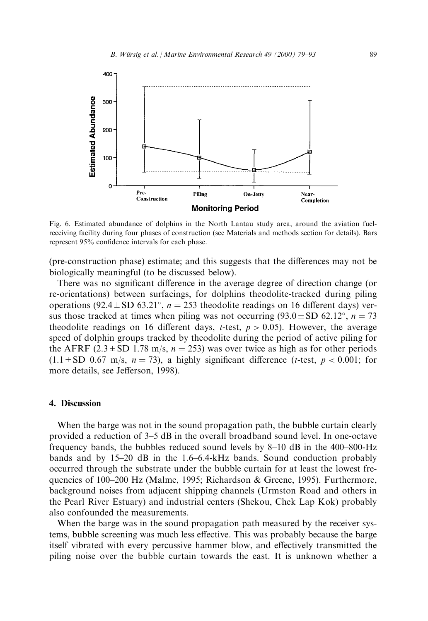

Fig. 6. Estimated abundance of dolphins in the North Lantau study area, around the aviation fuelreceiving facility during four phases of construction (see Materials and methods section for details). Bars represent 95% confidence intervals for each phase.

(pre-construction phase) estimate; and this suggests that the differences may not be biologically meaningful (to be discussed below).

There was no significant difference in the average degree of direction change (or re-orientations) between surfacings, for dolphins theodolite-tracked during piling operations (92.4  $\pm$  SD 63.21°,  $n = 253$  theodolite readings on 16 different days) versus those tracked at times when piling was not occurring  $(93.0 \pm SD 62.12^{\circ}, n = 73$ theodolite readings on 16 different days, *t*-test,  $p > 0.05$ ). However, the average speed of dolphin groups tracked by theodolite during the period of active piling for the AFRF (2.3  $\pm$  SD 1.78 m/s, n = 253) was over twice as high as for other periods  $(1.1 \pm SD \ 0.67 \ m/s, n = 73)$ , a highly significant difference (*t*-test,  $p < 0.001$ ; for more details, see Jefferson, 1998).

## 4. Discussion

When the barge was not in the sound propagation path, the bubble curtain clearly provided a reduction of  $3-5$  dB in the overall broadband sound level. In one-octave frequency bands, the bubbles reduced sound levels by 8–10 dB in the 400–800-Hz bands and by  $15-20$  dB in the  $1.6-6.4-kHz$  bands. Sound conduction probably occurred through the substrate under the bubble curtain for at least the lowest frequencies of 100–200 Hz (Malme, 1995; Richardson & Greene, 1995). Furthermore, background noises from adjacent shipping channels (Urmston Road and others in the Pearl River Estuary) and industrial centers (Shekou, Chek Lap Kok) probably also confounded the measurements.

When the barge was in the sound propagation path measured by the receiver systems, bubble screening was much less effective. This was probably because the barge itself vibrated with every percussive hammer blow, and effectively transmitted the piling noise over the bubble curtain towards the east. It is unknown whether a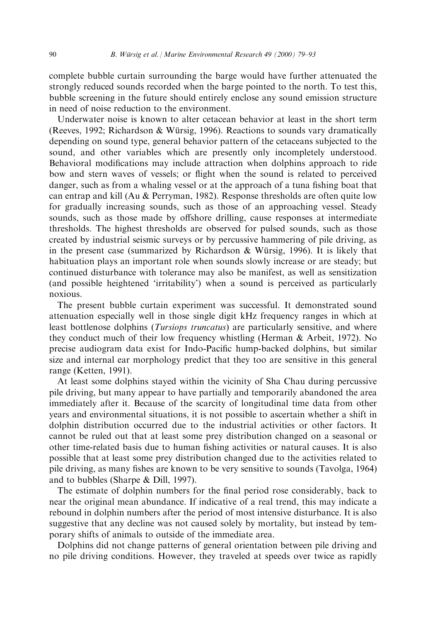complete bubble curtain surrounding the barge would have further attenuated the strongly reduced sounds recorded when the barge pointed to the north. To test this, bubble screening in the future should entirely enclose any sound emission structure in need of noise reduction to the environment.

Underwater noise is known to alter cetacean behavior at least in the short term (Reeves, 1992; Richardson & Würsig, 1996). Reactions to sounds vary dramatically depending on sound type, general behavior pattern of the cetaceans subjected to the sound, and other variables which are presently only incompletely understood. Behavioral modifications may include attraction when dolphins approach to ride bow and stern waves of vessels; or flight when the sound is related to perceived danger, such as from a whaling vessel or at the approach of a tuna fishing boat that can entrap and kill (Au & Perryman, 1982). Response thresholds are often quite low for gradually increasing sounds, such as those of an approaching vessel. Steady sounds, such as those made by offshore drilling, cause responses at intermediate thresholds. The highest thresholds are observed for pulsed sounds, such as those created by industrial seismic surveys or by percussive hammering of pile driving, as in the present case (summarized by Richardson  $\&$  Würsig, 1996). It is likely that habituation plays an important role when sounds slowly increase or are steady; but continued disturbance with tolerance may also be manifest, as well as sensitization (and possible heightened `irritability') when a sound is perceived as particularly noxious.

The present bubble curtain experiment was successful. It demonstrated sound attenuation especially well in those single digit kHz frequency ranges in which at least bottlenose dolphins *(Tursiops truncatus)* are particularly sensitive, and where they conduct much of their low frequency whistling (Herman & Arbeit, 1972). No precise audiogram data exist for Indo-Pacific hump-backed dolphins, but similar size and internal ear morphology predict that they too are sensitive in this general range (Ketten, 1991).

At least some dolphins stayed within the vicinity of Sha Chau during percussive pile driving, but many appear to have partially and temporarily abandoned the area immediately after it. Because of the scarcity of longitudinal time data from other years and environmental situations, it is not possible to ascertain whether a shift in dolphin distribution occurred due to the industrial activities or other factors. It cannot be ruled out that at least some prey distribution changed on a seasonal or other time-related basis due to human fishing activities or natural causes. It is also possible that at least some prey distribution changed due to the activities related to pile driving, as many fishes are known to be very sensitive to sounds (Tavolga, 1964) and to bubbles (Sharpe & Dill, 1997).

The estimate of dolphin numbers for the final period rose considerably, back to near the original mean abundance. If indicative of a real trend, this may indicate a rebound in dolphin numbers after the period of most intensive disturbance. It is also suggestive that any decline was not caused solely by mortality, but instead by temporary shifts of animals to outside of the immediate area.

Dolphins did not change patterns of general orientation between pile driving and no pile driving conditions. However, they traveled at speeds over twice as rapidly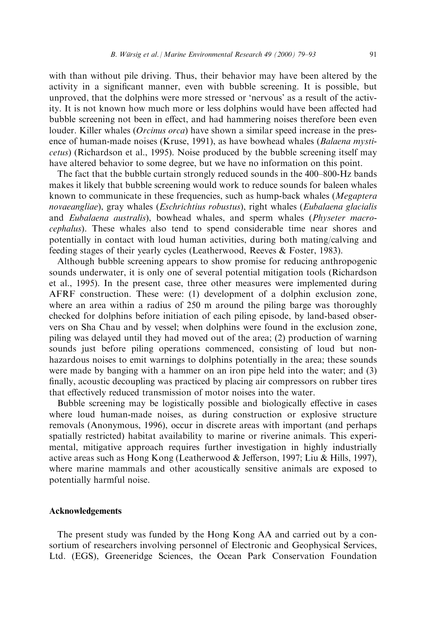with than without pile driving. Thus, their behavior may have been altered by the activity in a significant manner, even with bubble screening. It is possible, but unproved, that the dolphins were more stressed or `nervous' as a result of the activity. It is not known how much more or less dolphins would have been affected had bubble screening not been in effect, and had hammering noises therefore been even louder. Killer whales *(Orcinus orca)* have shown a similar speed increase in the presence of human-made noises (Kruse, 1991), as have bowhead whales (Balaena mysticetus) (Richardson et al., 1995). Noise produced by the bubble screening itself may have altered behavior to some degree, but we have no information on this point.

The fact that the bubble curtain strongly reduced sounds in the 400–800-Hz bands makes it likely that bubble screening would work to reduce sounds for baleen whales known to communicate in these frequencies, such as hump-back whales (Megaptera novaeangliae), gray whales (Eschrichtius robustus), right whales (Eubalaena glacialis and Eubalaena australis), bowhead whales, and sperm whales (Physeter macrocephalus). These whales also tend to spend considerable time near shores and potentially in contact with loud human activities, during both mating/calving and feeding stages of their yearly cycles (Leatherwood, Reeves & Foster, 1983).

Although bubble screening appears to show promise for reducing anthropogenic sounds underwater, it is only one of several potential mitigation tools (Richardson et al., 1995). In the present case, three other measures were implemented during AFRF construction. These were: (1) development of a dolphin exclusion zone, where an area within a radius of 250 m around the piling barge was thoroughly checked for dolphins before initiation of each piling episode, by land-based observers on Sha Chau and by vessel; when dolphins were found in the exclusion zone, piling was delayed until they had moved out of the area; (2) production of warning sounds just before piling operations commenced, consisting of loud but nonhazardous noises to emit warnings to dolphins potentially in the area; these sounds were made by banging with a hammer on an iron pipe held into the water; and (3) finally, acoustic decoupling was practiced by placing air compressors on rubber tires that effectively reduced transmission of motor noises into the water.

Bubble screening may be logistically possible and biologically effective in cases where loud human-made noises, as during construction or explosive structure removals (Anonymous, 1996), occur in discrete areas with important (and perhaps spatially restricted) habitat availability to marine or riverine animals. This experimental, mitigative approach requires further investigation in highly industrially active areas such as Hong Kong (Leatherwood & Jefferson, 1997; Liu & Hills, 1997), where marine mammals and other acoustically sensitive animals are exposed to potentially harmful noise.

## Acknowledgements

The present study was funded by the Hong Kong AA and carried out by a consortium of researchers involving personnel of Electronic and Geophysical Services, Ltd. (EGS), Greeneridge Sciences, the Ocean Park Conservation Foundation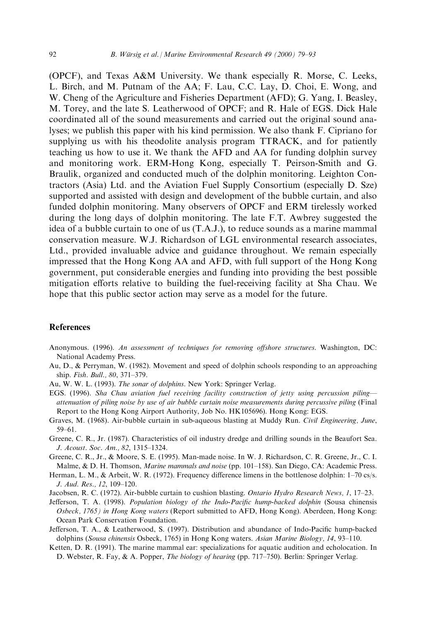(OPCF), and Texas A&M University. We thank especially R. Morse, C. Leeks, L. Birch, and M. Putnam of the AA; F. Lau, C.C. Lay, D. Choi, E. Wong, and W. Cheng of the Agriculture and Fisheries Department (AFD); G. Yang, I. Beasley, M. Torey, and the late S. Leatherwood of OPCF; and R. Hale of EGS. Dick Hale coordinated all of the sound measurements and carried out the original sound analyses; we publish this paper with his kind permission. We also thank F. Cipriano for supplying us with his theodolite analysis program TTRACK, and for patiently teaching us how to use it. We thank the AFD and AA for funding dolphin survey and monitoring work. ERM-Hong Kong, especially T. Peirson-Smith and G. Braulik, organized and conducted much of the dolphin monitoring. Leighton Contractors (Asia) Ltd. and the Aviation Fuel Supply Consortium (especially D. Sze) supported and assisted with design and development of the bubble curtain, and also funded dolphin monitoring. Many observers of OPCF and ERM tirelessly worked during the long days of dolphin monitoring. The late F.T. Awbrey suggested the idea of a bubble curtain to one of us (T.A.J.), to reduce sounds as a marine mammal conservation measure. W.J. Richardson of LGL environmental research associates, Ltd., provided invaluable advice and guidance throughout. We remain especially impressed that the Hong Kong AA and AFD, with full support of the Hong Kong government, put considerable energies and funding into providing the best possible mitigation efforts relative to building the fuel-receiving facility at Sha Chau. We hope that this public sector action may serve as a model for the future.

## References

- Anonymous. (1996). An assessment of techniques for removing offshore structures. Washington, DC: National Academy Press.
- Au, D., & Perryman, W. (1982). Movement and speed of dolphin schools responding to an approaching ship. Fish. Bull., 80, 371-379.
- Au, W. W. L. (1993). The sonar of dolphins. New York: Springer Verlag.
- EGS. (1996). Sha Chau aviation fuel receiving facility construction of jetty using percussion piling attenuation of piling noise by use of air bubble curtain noise measurements during percussive piling (Final Report to the Hong Kong Airport Authority, Job No. HK105696). Hong Kong: EGS.
- Graves, M. (1968). Air-bubble curtain in sub-aqueous blasting at Muddy Run. Civil Engineering, June, 59±61.
- Greene, C. R., Jr. (1987). Characteristics of oil industry dredge and drilling sounds in the Beaufort Sea. J. Acoust. Soc. Am., 82, 1315-1324.
- Greene, C. R., Jr., & Moore, S. E. (1995). Man-made noise. In W. J. Richardson, C. R. Greene, Jr., C. I. Malme, & D. H. Thomson, *Marine mammals and noise* (pp. 101–158). San Diego, CA: Academic Press.
- Herman, L. M., & Arbeit, W. R. (1972). Frequency difference limens in the bottlenose dolphin: 1-70 cs/s. J. Aud. Res., 12, 109-120.
- Jacobsen, R. C. (1972). Air-bubble curtain to cushion blasting. Ontario Hydro Research News, 1, 17–23.
- Jefferson, T. A. (1998). Population biology of the Indo-Pacific hump-backed dolphin (Sousa chinensis Osbeck, 1765) in Hong Kong waters (Report submitted to AFD, Hong Kong). Aberdeen, Hong Kong: Ocean Park Conservation Foundation.
- Jefferson, T. A., & Leatherwood, S. (1997). Distribution and abundance of Indo-Pacific hump-backed dolphins (Sousa chinensis Osbeck, 1765) in Hong Kong waters. Asian Marine Biology, 14, 93-110.
- Ketten, D. R. (1991). The marine mammal ear: specializations for aquatic audition and echolocation. In D. Webster, R. Fay, & A. Popper, *The biology of hearing* (pp. 717–750). Berlin: Springer Verlag.